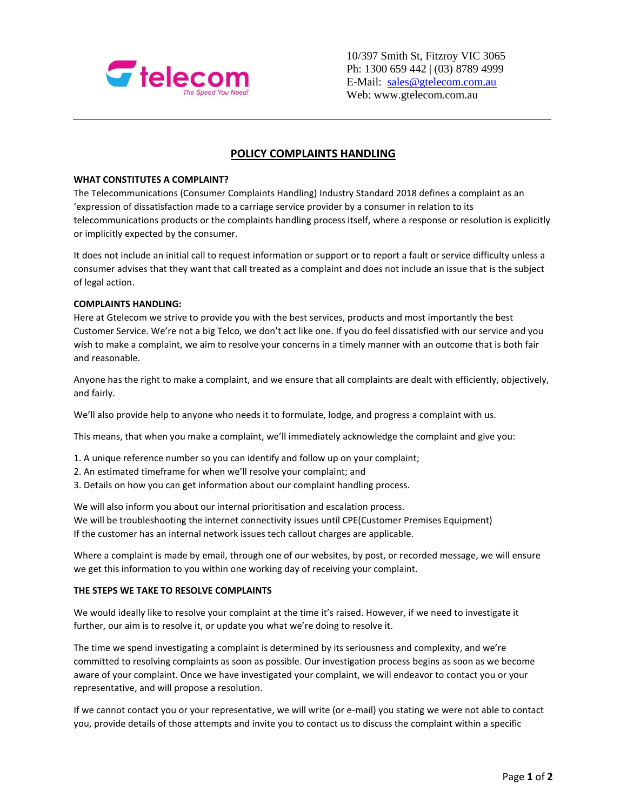

10/397 Smith St, Fitzroy VIC 3065 Ph: 1300 659 442 | (03) 8789 4999 E-Mail: [sales@gtelecom.com.au](mailto:sales@gtelecom.com.au) Web: www.gtelecom.com.au

# **POLICY COMPLAINTS HANDLING**

### **WHAT CONSTITUTES A COMPLAINT?**

The Telecommunications (Consumer Complaints Handling) Industry Standard 2018 defines a complaint as an 'expression of dissatisfaction made to a carriage service provider by a consumer in relation to its telecommunications products or the complaints handling process itself, where a response or resolution is explicitly or implicitly expected by the consumer.

It does not include an initial call to request information or support or to report a fault or service difficulty unless a consumer advises that they want that call treated as a complaint and does not include an issue that is the subject of legal action.

## **COMPLAINTS HANDLING:**

Here at Gtelecom we strive to provide you with the best services, products and most importantly the best Customer Service. We're not a big Telco, we don't act like one. If you do feel dissatisfied with our service and you wish to make a complaint, we aim to resolve your concerns in a timely manner with an outcome that is both fair and reasonable.

Anyone has the right to make a complaint, and we ensure that all complaints are dealt with efficiently, objectively, and fairly.

We'll also provide help to anyone who needs it to formulate, lodge, and progress a complaint with us.

This means, that when you make a complaint, we'll immediately acknowledge the complaint and give you:

- 1. A unique reference number so you can identify and follow up on your complaint;
- 2. An estimated timeframe for when we'll resolve your complaint; and
- 3. Details on how you can get information about our complaint handling process.

We will also inform you about our internal prioritisation and escalation process. We will be troubleshooting the internet connectivity issues until CPE(Customer Premises Equipment) If the customer has an internal network issues tech callout charges are applicable.

Where a complaint is made by email, through one of our websites, by post, or recorded message, we will ensure we get this information to you within one working day of receiving your complaint.

## **THE STEPS WE TAKE TO RESOLVE COMPLAINTS**

We would ideally like to resolve your complaint at the time it's raised. However, if we need to investigate it further, our aim is to resolve it, or update you what we're doing to resolve it.

The time we spend investigating a complaint is determined by its seriousness and complexity, and we're committed to resolving complaints as soon as possible. Our investigation process begins as soon as we become aware of your complaint. Once we have investigated your complaint, we will endeavor to contact you or your representative, and will propose a resolution.

If we cannot contact you or your representative, we will write (or e-mail) you stating we were not able to contact you, provide details of those attempts and invite you to contact us to discuss the complaint within a specific